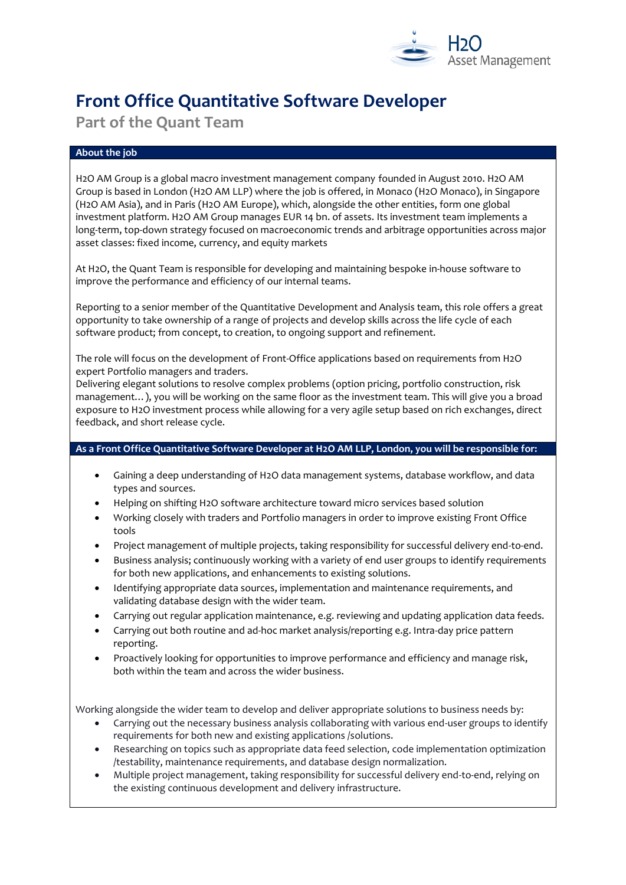

# **Front Office Quantitative Software Developer**

**Part of the Quant Team** 

# **About the job**

H2O AM Group is a global macro investment management company founded in August 2010. H2O AM Group is based in London (H2O AM LLP) where the job is offered, in Monaco (H2O Monaco), in Singapore (H2O AM Asia), and in Paris (H2O AM Europe), which, alongside the other entities, form one global investment platform. H2O AM Group manages EUR 14 bn. of assets. Its investment team implements a long-term, top-down strategy focused on macroeconomic trends and arbitrage opportunities across major asset classes: fixed income, currency, and equity markets

At H2O, the Quant Team is responsible for developing and maintaining bespoke in-house software to improve the performance and efficiency of our internal teams.

Reporting to a senior member of the Quantitative Development and Analysis team, this role offers a great opportunity to take ownership of a range of projects and develop skills across the life cycle of each software product; from concept, to creation, to ongoing support and refinement.

The role will focus on the development of Front-Office applications based on requirements from H2O expert Portfolio managers and traders.

Delivering elegant solutions to resolve complex problems (option pricing, portfolio construction, risk management…), you will be working on the same floor as the investment team. This will give you a broad exposure to H2O investment process while allowing for a very agile setup based on rich exchanges, direct feedback, and short release cycle.

## **As a Front Office Quantitative Software Developer at H2O AM LLP, London, you will be responsible for:**

- Gaining a deep understanding of H2O data management systems, database workflow, and data types and sources.
- Helping on shifting H2O software architecture toward micro services based solution
- Working closely with traders and Portfolio managers in order to improve existing Front Office tools
- Project management of multiple projects, taking responsibility for successful delivery end-to-end.
- Business analysis; continuously working with a variety of end user groups to identify requirements for both new applications, and enhancements to existing solutions.
- Identifying appropriate data sources, implementation and maintenance requirements, and validating database design with the wider team.
- Carrying out regular application maintenance, e.g. reviewing and updating application data feeds.
- Carrying out both routine and ad-hoc market analysis/reporting e.g. Intra-day price pattern reporting.
- Proactively looking for opportunities to improve performance and efficiency and manage risk, both within the team and across the wider business.

Working alongside the wider team to develop and deliver appropriate solutions to business needs by:

- Carrying out the necessary business analysis collaborating with various end-user groups to identify requirements for both new and existing applications /solutions.
- Researching on topics such as appropriate data feed selection, code implementation optimization /testability, maintenance requirements, and database design normalization.
- Multiple project management, taking responsibility for successful delivery end-to-end, relying on the existing continuous development and delivery infrastructure.